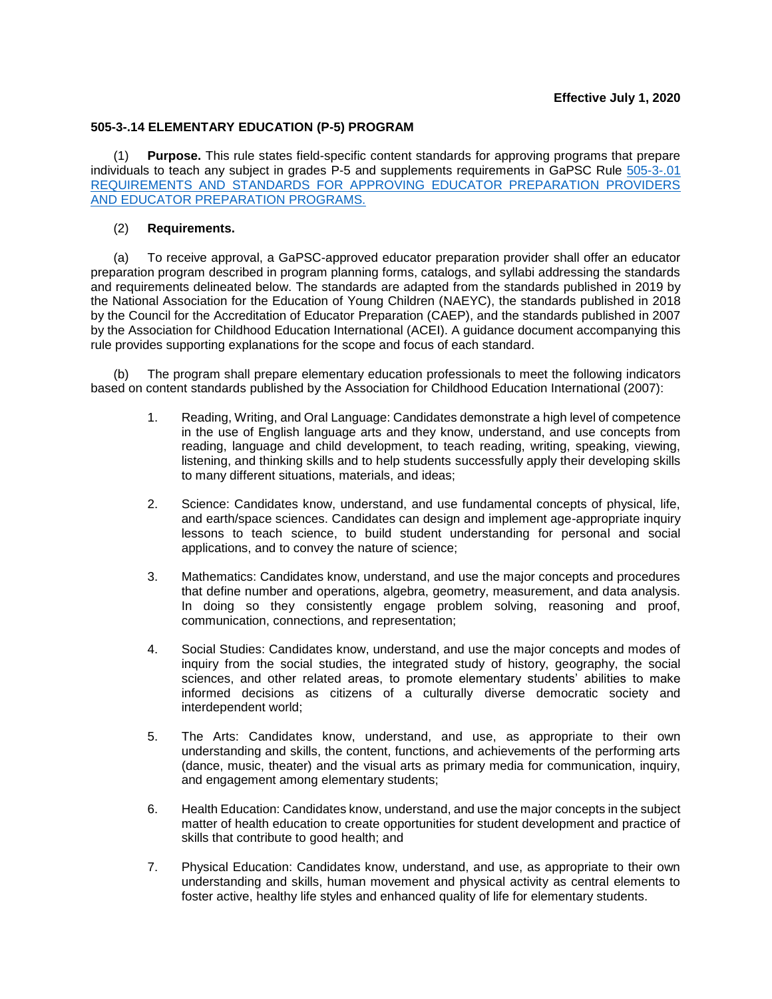## **505-3-.14 ELEMENTARY EDUCATION (P-5) PROGRAM**

(1) **Purpose.** This rule states field-specific content standards for approving programs that prepare individuals to teach any subject in grades P-5 and supplements requirements in [GaPSC Rule](https://www.gapsc.com/Rules/Current/EducatorPreparation/505-3-.01.pdf?dt=%3C%25#Eval() 505-3-.01 [REQUIREMENTS AND STANDARDS FOR APPROVING EDUCATOR PREPARATION PROVIDERS](https://www.gapsc.com/Rules/Current/EducatorPreparation/505-3-.01.pdf?dt=%3C%25#Eval()  [AND EDUCATOR PREPARATION PROGRAMS.](https://www.gapsc.com/Rules/Current/EducatorPreparation/505-3-.01.pdf?dt=%3C%25#Eval()

## (2) **Requirements.**

(a) To receive approval, a GaPSC-approved educator preparation provider shall offer an educator preparation program described in program planning forms, catalogs, and syllabi addressing the standards and requirements delineated below. The standards are adapted from the standards published in 2019 by the National Association for the Education of Young Children (NAEYC), the standards published in 2018 by the Council for the Accreditation of Educator Preparation (CAEP), and the standards published in 2007 by the Association for Childhood Education International (ACEI). A guidance document accompanying this rule provides supporting explanations for the scope and focus of each standard.

(b) The program shall prepare elementary education professionals to meet the following indicators based on content standards published by the Association for Childhood Education International (2007):

- 1. Reading, Writing, and Oral Language: Candidates demonstrate a high level of competence in the use of English language arts and they know, understand, and use concepts from reading, language and child development, to teach reading, writing, speaking, viewing, listening, and thinking skills and to help students successfully apply their developing skills to many different situations, materials, and ideas;
- 2. Science: Candidates know, understand, and use fundamental concepts of physical, life, and earth/space sciences. Candidates can design and implement age-appropriate inquiry lessons to teach science, to build student understanding for personal and social applications, and to convey the nature of science;
- 3. Mathematics: Candidates know, understand, and use the major concepts and procedures that define number and operations, algebra, geometry, measurement, and data analysis. In doing so they consistently engage problem solving, reasoning and proof, communication, connections, and representation;
- 4. Social Studies: Candidates know, understand, and use the major concepts and modes of inquiry from the social studies, the integrated study of history, geography, the social sciences, and other related areas, to promote elementary students' abilities to make informed decisions as citizens of a culturally diverse democratic society and interdependent world;
- 5. The Arts: Candidates know, understand, and use, as appropriate to their own understanding and skills, the content, functions, and achievements of the performing arts (dance, music, theater) and the visual arts as primary media for communication, inquiry, and engagement among elementary students;
- 6. Health Education: Candidates know, understand, and use the major concepts in the subject matter of health education to create opportunities for student development and practice of skills that contribute to good health; and
- 7. Physical Education: Candidates know, understand, and use, as appropriate to their own understanding and skills, human movement and physical activity as central elements to foster active, healthy life styles and enhanced quality of life for elementary students.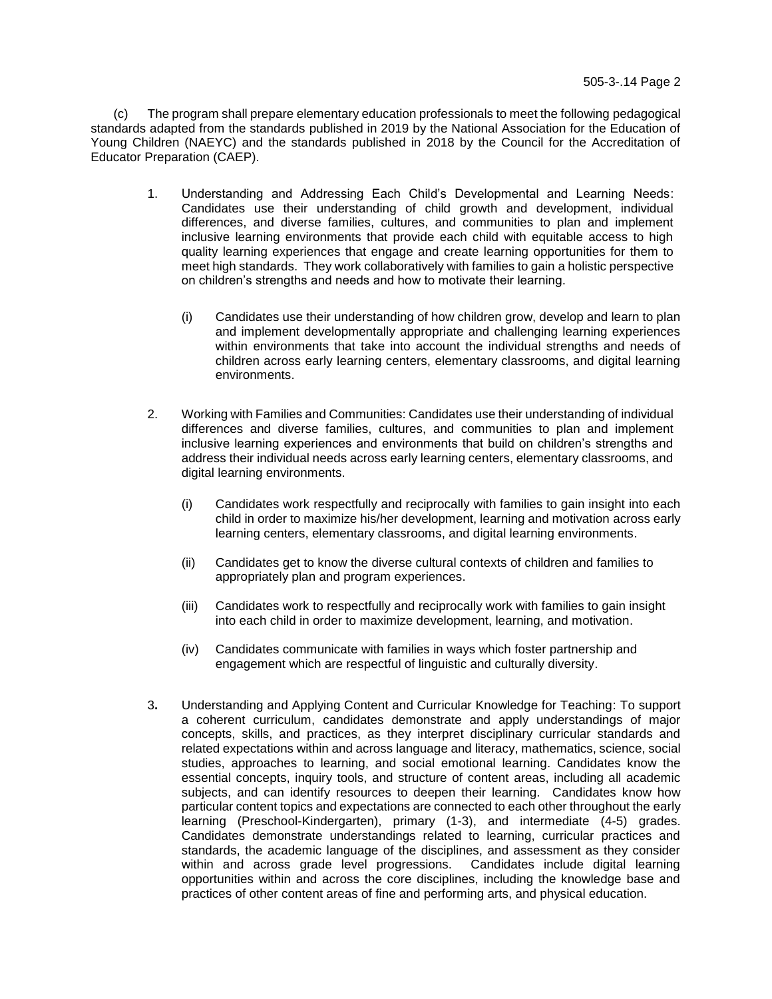(c) The program shall prepare elementary education professionals to meet the following pedagogical standards adapted from the standards published in 2019 by the National Association for the Education of Young Children (NAEYC) and the standards published in 2018 by the Council for the Accreditation of Educator Preparation (CAEP).

- 1. Understanding and Addressing Each Child's Developmental and Learning Needs: Candidates use their understanding of child growth and development, individual differences, and diverse families, cultures, and communities to plan and implement inclusive learning environments that provide each child with equitable access to high quality learning experiences that engage and create learning opportunities for them to meet high standards. They work collaboratively with families to gain a holistic perspective on children's strengths and needs and how to motivate their learning.
	- (i) Candidates use their understanding of how children grow, develop and learn to plan and implement developmentally appropriate and challenging learning experiences within environments that take into account the individual strengths and needs of children across early learning centers, elementary classrooms, and digital learning environments.
- 2. Working with Families and Communities: Candidates use their understanding of individual differences and diverse families, cultures, and communities to plan and implement inclusive learning experiences and environments that build on children's strengths and address their individual needs across early learning centers, elementary classrooms, and digital learning environments.
	- (i) Candidates work respectfully and reciprocally with families to gain insight into each child in order to maximize his/her development, learning and motivation across early learning centers, elementary classrooms, and digital learning environments.
	- (ii) Candidates get to know the diverse cultural contexts of children and families to appropriately plan and program experiences.
	- (iii) Candidates work to respectfully and reciprocally work with families to gain insight into each child in order to maximize development, learning, and motivation.
	- (iv) Candidates communicate with families in ways which foster partnership and engagement which are respectful of linguistic and culturally diversity.
- 3**.** Understanding and Applying Content and Curricular Knowledge for Teaching: To support a coherent curriculum, candidates demonstrate and apply understandings of major concepts, skills, and practices, as they interpret disciplinary curricular standards and related expectations within and across language and literacy, mathematics, science, social studies, approaches to learning, and social emotional learning. Candidates know the essential concepts, inquiry tools, and structure of content areas, including all academic subjects, and can identify resources to deepen their learning. Candidates know how particular content topics and expectations are connected to each other throughout the early learning (Preschool-Kindergarten), primary (1-3), and intermediate (4-5) grades. Candidates demonstrate understandings related to learning, curricular practices and standards, the academic language of the disciplines, and assessment as they consider within and across grade level progressions. Candidates include digital learning opportunities within and across the core disciplines, including the knowledge base and practices of other content areas of fine and performing arts, and physical education.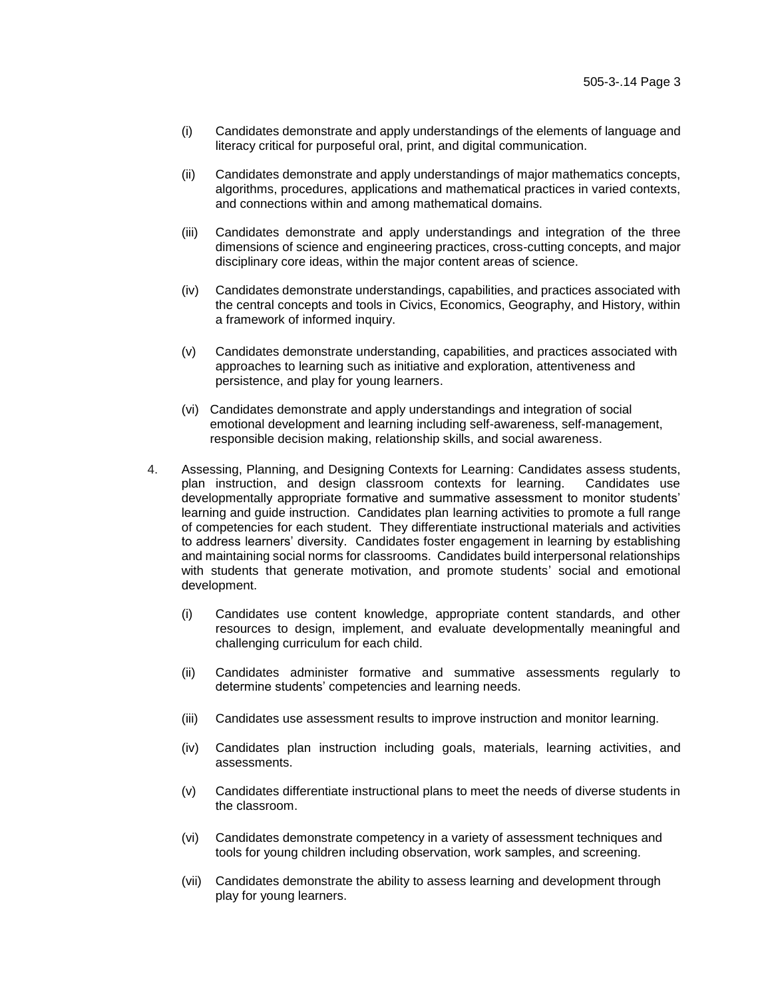- (i) Candidates demonstrate and apply understandings of the elements of language and literacy critical for purposeful oral, print, and digital communication.
- (ii) Candidates demonstrate and apply understandings of major mathematics concepts, algorithms, procedures, applications and mathematical practices in varied contexts, and connections within and among mathematical domains.
- (iii) Candidates demonstrate and apply understandings and integration of the three dimensions of science and engineering practices, cross-cutting concepts, and major disciplinary core ideas, within the major content areas of science.
- (iv) Candidates demonstrate understandings, capabilities, and practices associated with the central concepts and tools in Civics, Economics, Geography, and History, within a framework of informed inquiry.
- (v) Candidates demonstrate understanding, capabilities, and practices associated with approaches to learning such as initiative and exploration, attentiveness and persistence, and play for young learners.
- (vi) Candidates demonstrate and apply understandings and integration of social emotional development and learning including self-awareness, self-management, responsible decision making, relationship skills, and social awareness.
- 4. Assessing, Planning, and Designing Contexts for Learning: Candidates assess students, plan instruction, and design classroom contexts for learning. Candidates use developmentally appropriate formative and summative assessment to monitor students' learning and guide instruction. Candidates plan learning activities to promote a full range of competencies for each student. They differentiate instructional materials and activities to address learners' diversity. Candidates foster engagement in learning by establishing and maintaining social norms for classrooms. Candidates build interpersonal relationships with students that generate motivation, and promote students' social and emotional development.
	- (i) Candidates use content knowledge, appropriate content standards, and other resources to design, implement, and evaluate developmentally meaningful and challenging curriculum for each child.
	- (ii) Candidates administer formative and summative assessments regularly to determine students' competencies and learning needs.
	- (iii) Candidates use assessment results to improve instruction and monitor learning.
	- (iv) Candidates plan instruction including goals, materials, learning activities, and assessments.
	- (v) Candidates differentiate instructional plans to meet the needs of diverse students in the classroom.
	- (vi) Candidates demonstrate competency in a variety of assessment techniques and tools for young children including observation, work samples, and screening.
	- (vii) Candidates demonstrate the ability to assess learning and development through play for young learners.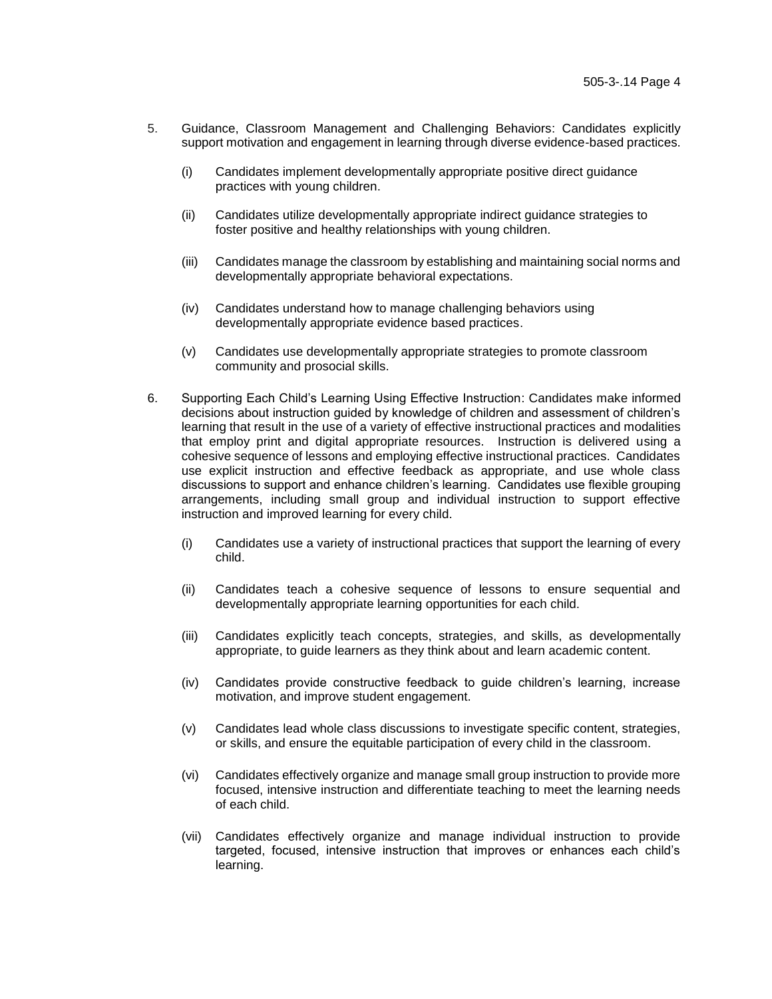- 5. Guidance, Classroom Management and Challenging Behaviors: Candidates explicitly support motivation and engagement in learning through diverse evidence-based practices.
	- (i) Candidates implement developmentally appropriate positive direct guidance practices with young children.
	- (ii) Candidates utilize developmentally appropriate indirect guidance strategies to foster positive and healthy relationships with young children.
	- (iii) Candidates manage the classroom by establishing and maintaining social norms and developmentally appropriate behavioral expectations.
	- (iv) Candidates understand how to manage challenging behaviors using developmentally appropriate evidence based practices.
	- (v) Candidates use developmentally appropriate strategies to promote classroom community and prosocial skills.
- 6. Supporting Each Child's Learning Using Effective Instruction: Candidates make informed decisions about instruction guided by knowledge of children and assessment of children's learning that result in the use of a variety of effective instructional practices and modalities that employ print and digital appropriate resources. Instruction is delivered using a cohesive sequence of lessons and employing effective instructional practices. Candidates use explicit instruction and effective feedback as appropriate, and use whole class discussions to support and enhance children's learning. Candidates use flexible grouping arrangements, including small group and individual instruction to support effective instruction and improved learning for every child.
	- (i) Candidates use a variety of instructional practices that support the learning of every child.
	- (ii) Candidates teach a cohesive sequence of lessons to ensure sequential and developmentally appropriate learning opportunities for each child.
	- (iii) Candidates explicitly teach concepts, strategies, and skills, as developmentally appropriate, to guide learners as they think about and learn academic content.
	- (iv) Candidates provide constructive feedback to guide children's learning, increase motivation, and improve student engagement.
	- (v) Candidates lead whole class discussions to investigate specific content, strategies, or skills, and ensure the equitable participation of every child in the classroom.
	- (vi) Candidates effectively organize and manage small group instruction to provide more focused, intensive instruction and differentiate teaching to meet the learning needs of each child.
	- (vii) Candidates effectively organize and manage individual instruction to provide targeted, focused, intensive instruction that improves or enhances each child's learning.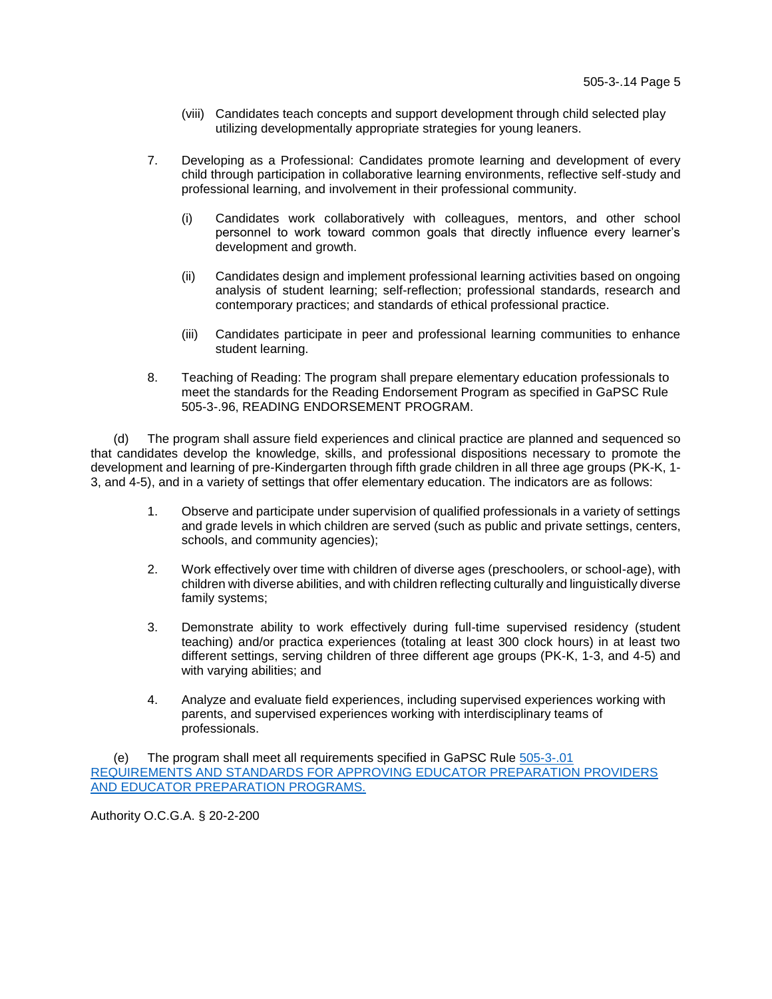- (viii) Candidates teach concepts and support development through child selected play utilizing developmentally appropriate strategies for young leaners.
- 7. Developing as a Professional: Candidates promote learning and development of every child through participation in collaborative learning environments, reflective self-study and professional learning, and involvement in their professional community.
	- (i) Candidates work collaboratively with colleagues, mentors, and other school personnel to work toward common goals that directly influence every learner's development and growth.
	- (ii) Candidates design and implement professional learning activities based on ongoing analysis of student learning; self-reflection; professional standards, research and contemporary practices; and standards of ethical professional practice.
	- (iii) Candidates participate in peer and professional learning communities to enhance student learning.
- 8. Teaching of Reading: The program shall prepare elementary education professionals to meet the standards for the Reading Endorsement Program as specified in GaPSC Rule 505-3-.96, READING ENDORSEMENT PROGRAM.

(d) The program shall assure field experiences and clinical practice are planned and sequenced so that candidates develop the knowledge, skills, and professional dispositions necessary to promote the development and learning of pre-Kindergarten through fifth grade children in all three age groups (PK-K, 1- 3, and 4-5), and in a variety of settings that offer elementary education. The indicators are as follows:

- 1. Observe and participate under supervision of qualified professionals in a variety of settings and grade levels in which children are served (such as public and private settings, centers, schools, and community agencies);
- 2. Work effectively over time with children of diverse ages (preschoolers, or school-age), with children with diverse abilities, and with children reflecting culturally and linguistically diverse family systems;
- 3. Demonstrate ability to work effectively during full-time supervised residency (student teaching) and/or practica experiences (totaling at least 300 clock hours) in at least two different settings, serving children of three different age groups (PK-K, 1-3, and 4-5) and with varying abilities; and
- 4. Analyze and evaluate field experiences, including supervised experiences working with parents, and supervised experiences working with interdisciplinary teams of professionals.

(e) The program shall meet all requirements specified in [GaPSC Rule 505-3-.01](https://www.gapsc.com/Rules/Current/EducatorPreparation/505-3-.01.pdf?dt=%3C%25#Eval() [REQUIREMENTS AND STANDARDS FOR APPROVING](https://www.gapsc.com/Rules/Current/EducatorPreparation/505-3-.01.pdf?dt=%3C%25#Eval() EDUCATOR PREPARATION PROVIDERS [AND EDUCATOR PREPARATION PROGRAMS.](https://www.gapsc.com/Rules/Current/EducatorPreparation/505-3-.01.pdf?dt=%3C%25#Eval()

Authority O.C.G.A. § 20-2-200